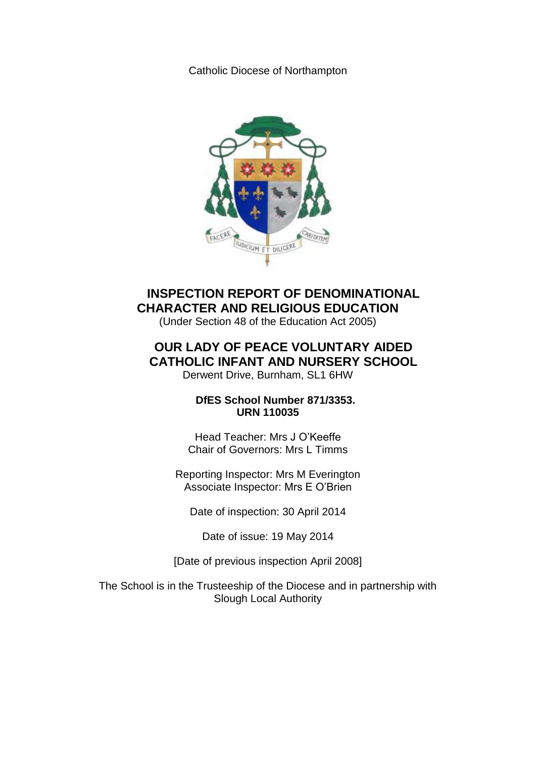Catholic Diocese of Northampton



**INSPECTION REPORT OF DENOMINATIONAL CHARACTER AND RELIGIOUS EDUCATION**

(Under Section 48 of the Education Act 2005)

# **OUR LADY OF PEACE VOLUNTARY AIDED CATHOLIC INFANT AND NURSERY SCHOOL**

Derwent Drive, Burnham, SL1 6HW

 **DfES School Number 871/3353. URN 110035**

Head Teacher: Mrs J O'Keeffe Chair of Governors: Mrs L Timms

Reporting Inspector: Mrs M Everington Associate Inspector: Mrs E O'Brien

Date of inspection: 30 April 2014

Date of issue: 19 May 2014

[Date of previous inspection April 2008]

The School is in the Trusteeship of the Diocese and in partnership with Slough Local Authority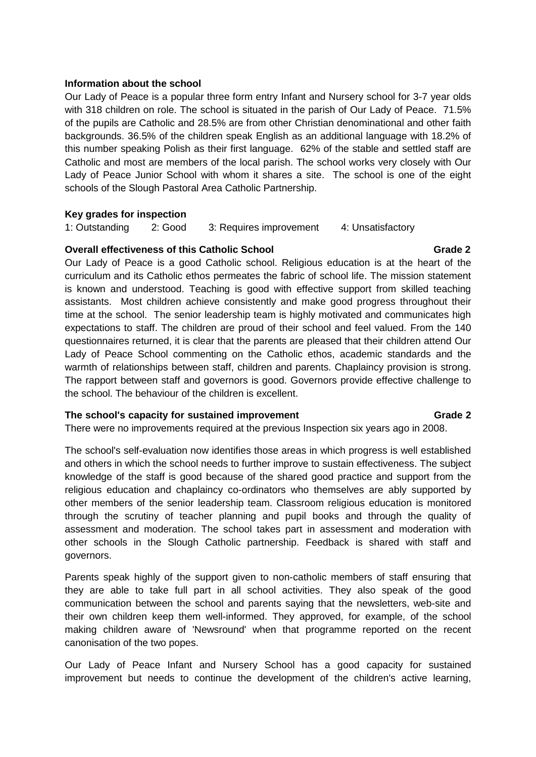### **Information about the school**

Our Lady of Peace is a popular three form entry Infant and Nursery school for 3-7 year olds with 318 children on role. The school is situated in the parish of Our Lady of Peace. 71.5% of the pupils are Catholic and 28.5% are from other Christian denominational and other faith backgrounds. 36.5% of the children speak English as an additional language with 18.2% of this number speaking Polish as their first language. 62% of the stable and settled staff are Catholic and most are members of the local parish. The school works very closely with Our Lady of Peace Junior School with whom it shares a site. The school is one of the eight schools of the Slough Pastoral Area Catholic Partnership.

### **Key grades for inspection**

1: Outstanding 2: Good 3: Requires improvement 4: Unsatisfactory

### **Overall effectiveness of this Catholic School Crame 2** 6 Grade 2

Our Lady of Peace is a good Catholic school. Religious education is at the heart of the curriculum and its Catholic ethos permeates the fabric of school life. The mission statement is known and understood. Teaching is good with effective support from skilled teaching assistants. Most children achieve consistently and make good progress throughout their time at the school. The senior leadership team is highly motivated and communicates high expectations to staff. The children are proud of their school and feel valued. From the 140 questionnaires returned, it is clear that the parents are pleased that their children attend Our Lady of Peace School commenting on the Catholic ethos, academic standards and the warmth of relationships between staff, children and parents. Chaplaincy provision is strong. The rapport between staff and governors is good. Governors provide effective challenge to the school. The behaviour of the children is excellent.

## The school's capacity for sustained improvement **Grade** 2

## There were no improvements required at the previous Inspection six years ago in 2008.

The school's self-evaluation now identifies those areas in which progress is well established and others in which the school needs to further improve to sustain effectiveness. The subject knowledge of the staff is good because of the shared good practice and support from the religious education and chaplaincy co-ordinators who themselves are ably supported by other members of the senior leadership team. Classroom religious education is monitored through the scrutiny of teacher planning and pupil books and through the quality of assessment and moderation. The school takes part in assessment and moderation with other schools in the Slough Catholic partnership. Feedback is shared with staff and governors.

Parents speak highly of the support given to non-catholic members of staff ensuring that they are able to take full part in all school activities. They also speak of the good communication between the school and parents saying that the newsletters, web-site and their own children keep them well-informed. They approved, for example, of the school making children aware of 'Newsround' when that programme reported on the recent canonisation of the two popes.

Our Lady of Peace Infant and Nursery School has a good capacity for sustained improvement but needs to continue the development of the children's active learning,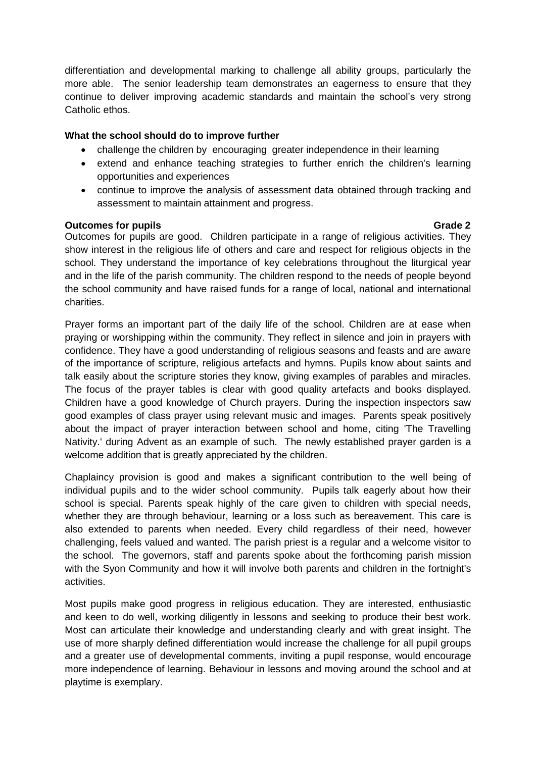differentiation and developmental marking to challenge all ability groups, particularly the more able. The senior leadership team demonstrates an eagerness to ensure that they continue to deliver improving academic standards and maintain the school's very strong Catholic ethos.

## **What the school should do to improve further**

- challenge the children by encouraging greater independence in their learning
- extend and enhance teaching strategies to further enrich the children's learning opportunities and experiences
- continue to improve the analysis of assessment data obtained through tracking and assessment to maintain attainment and progress.

## **Outcomes for pupils Grade 2** and Contract Contract Contract Contract Contract Contract Contract Contract Contract Contract Contract Contract Contract Contract Contract Contract Contract Contract Contract Contract Contract

Outcomes for pupils are good. Children participate in a range of religious activities. They show interest in the religious life of others and care and respect for religious objects in the school. They understand the importance of key celebrations throughout the liturgical year and in the life of the parish community. The children respond to the needs of people beyond the school community and have raised funds for a range of local, national and international charities.

Prayer forms an important part of the daily life of the school. Children are at ease when praying or worshipping within the community. They reflect in silence and join in prayers with confidence. They have a good understanding of religious seasons and feasts and are aware of the importance of scripture, religious artefacts and hymns. Pupils know about saints and talk easily about the scripture stories they know, giving examples of parables and miracles. The focus of the prayer tables is clear with good quality artefacts and books displayed. Children have a good knowledge of Church prayers. During the inspection inspectors saw good examples of class prayer using relevant music and images. Parents speak positively about the impact of prayer interaction between school and home, citing 'The Travelling Nativity.' during Advent as an example of such. The newly established prayer garden is a welcome addition that is greatly appreciated by the children.

Chaplaincy provision is good and makes a significant contribution to the well being of individual pupils and to the wider school community. Pupils talk eagerly about how their school is special. Parents speak highly of the care given to children with special needs, whether they are through behaviour, learning or a loss such as bereavement. This care is also extended to parents when needed. Every child regardless of their need, however challenging, feels valued and wanted. The parish priest is a regular and a welcome visitor to the school. The governors, staff and parents spoke about the forthcoming parish mission with the Syon Community and how it will involve both parents and children in the fortnight's activities.

Most pupils make good progress in religious education. They are interested, enthusiastic and keen to do well, working diligently in lessons and seeking to produce their best work. Most can articulate their knowledge and understanding clearly and with great insight. The use of more sharply defined differentiation would increase the challenge for all pupil groups and a greater use of developmental comments, inviting a pupil response, would encourage more independence of learning. Behaviour in lessons and moving around the school and at playtime is exemplary.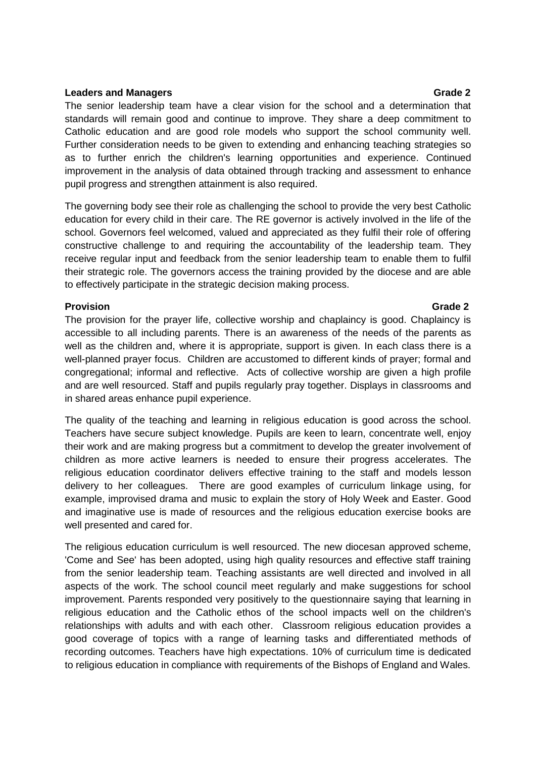### **Leaders and Managers Grade** 2

The senior leadership team have a clear vision for the school and a determination that standards will remain good and continue to improve. They share a deep commitment to Catholic education and are good role models who support the school community well. Further consideration needs to be given to extending and enhancing teaching strategies so as to further enrich the children's learning opportunities and experience. Continued improvement in the analysis of data obtained through tracking and assessment to enhance pupil progress and strengthen attainment is also required.

The governing body see their role as challenging the school to provide the very best Catholic education for every child in their care. The RE governor is actively involved in the life of the school. Governors feel welcomed, valued and appreciated as they fulfil their role of offering constructive challenge to and requiring the accountability of the leadership team. They receive regular input and feedback from the senior leadership team to enable them to fulfil their strategic role. The governors access the training provided by the diocese and are able to effectively participate in the strategic decision making process.

## **Provision Grade 2**

The provision for the prayer life, collective worship and chaplaincy is good. Chaplaincy is accessible to all including parents. There is an awareness of the needs of the parents as well as the children and, where it is appropriate, support is given. In each class there is a well-planned prayer focus. Children are accustomed to different kinds of prayer; formal and congregational; informal and reflective. Acts of collective worship are given a high profile and are well resourced. Staff and pupils regularly pray together. Displays in classrooms and in shared areas enhance pupil experience.

The quality of the teaching and learning in religious education is good across the school. Teachers have secure subject knowledge. Pupils are keen to learn, concentrate well, enjoy their work and are making progress but a commitment to develop the greater involvement of children as more active learners is needed to ensure their progress accelerates. The religious education coordinator delivers effective training to the staff and models lesson delivery to her colleagues. There are good examples of curriculum linkage using, for example, improvised drama and music to explain the story of Holy Week and Easter. Good and imaginative use is made of resources and the religious education exercise books are well presented and cared for.

The religious education curriculum is well resourced. The new diocesan approved scheme, 'Come and See' has been adopted, using high quality resources and effective staff training from the senior leadership team. Teaching assistants are well directed and involved in all aspects of the work. The school council meet regularly and make suggestions for school improvement. Parents responded very positively to the questionnaire saying that learning in religious education and the Catholic ethos of the school impacts well on the children's relationships with adults and with each other. Classroom religious education provides a good coverage of topics with a range of learning tasks and differentiated methods of recording outcomes. Teachers have high expectations. 10% of curriculum time is dedicated to religious education in compliance with requirements of the Bishops of England and Wales.